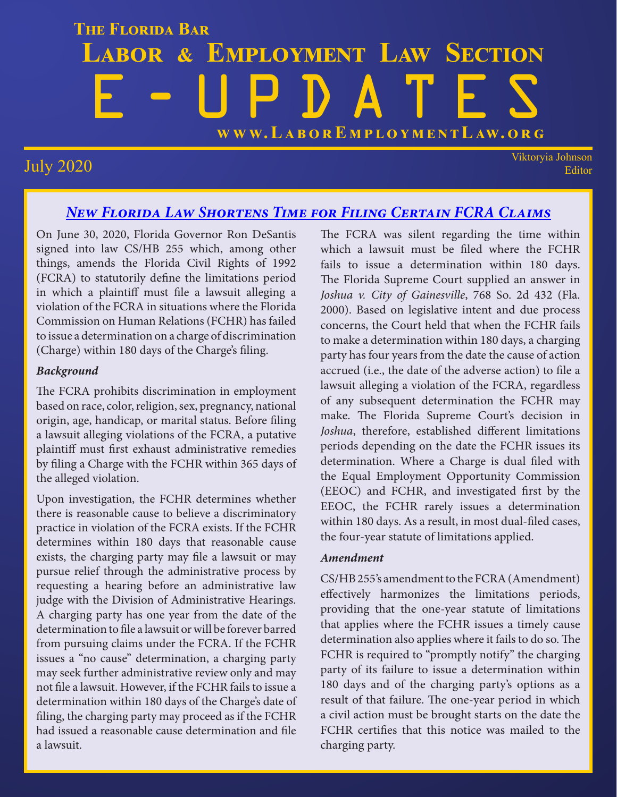## **THE FLORIDA BAR LABOR & EMPLOYMENT LAW SECTION** E-UPDATES **WWW.L[ABOREMPLOYMENTLAW.ORG](http://www.laboremploymentlaw.org/)**

July 2020 Viktoryia Johnson Editor

#### *[New Florida Law Shortens Time for Filing Certain FCRA Claims](http://www.fordharrison.com/redirect.aspx?Email=alittrell@fordharrison.com&ContactId=14133&MailingId=50963&MailKey=12585593&LinkId=113950)*

On June 30, 2020, Florida Governor Ron DeSantis signed into law CS/HB 255 which, among other things, amends the Florida Civil Rights of 1992 (FCRA) to statutorily define the limitations period in which a plaintiff must file a lawsuit alleging a violation of the FCRA in situations where the Florida Commission on Human Relations (FCHR) has failed to issue a determination on a charge of discrimination (Charge) within 180 days of the Charge's filing.

#### *Background*

The FCRA prohibits discrimination in employment based on race, color, religion, sex, pregnancy, national origin, age, handicap, or marital status. Before filing a lawsuit alleging violations of the FCRA, a putative plaintiff must first exhaust administrative remedies by filing a Charge with the FCHR within 365 days of the alleged violation.

Upon investigation, the FCHR determines whether there is reasonable cause to believe a discriminatory practice in violation of the FCRA exists. If the FCHR determines within 180 days that reasonable cause exists, the charging party may file a lawsuit or may pursue relief through the administrative process by requesting a hearing before an administrative law judge with the Division of Administrative Hearings. A charging party has one year from the date of the determination to file a lawsuit or will be forever barred from pursuing claims under the FCRA. If the FCHR issues a "no cause" determination, a charging party may seek further administrative review only and may not file a lawsuit. However, if the FCHR fails to issue a determination within 180 days of the Charge's date of filing, the charging party may proceed as if the FCHR had issued a reasonable cause determination and file a lawsuit.

The FCRA was silent regarding the time within which a lawsuit must be filed where the FCHR fails to issue a determination within 180 days. The Florida Supreme Court supplied an answer in *Joshua v. City of Gainesville*, 768 So. 2d 432 (Fla. 2000). Based on legislative intent and due process concerns, the Court held that when the FCHR fails to make a determination within 180 days, a charging party has four years from the date the cause of action accrued (i.e., the date of the adverse action) to file a lawsuit alleging a violation of the FCRA, regardless of any subsequent determination the FCHR may make. The Florida Supreme Court's decision in *Joshua*, therefore, established different limitations periods depending on the date the FCHR issues its determination. Where a Charge is dual filed with the Equal Employment Opportunity Commission (EEOC) and FCHR, and investigated first by the EEOC, the FCHR rarely issues a determination within 180 days. As a result, in most dual-filed cases, the four-year statute of limitations applied.

#### *Amendment*

CS/HB 255's amendment to the FCRA (Amendment) effectively harmonizes the limitations periods, providing that the one-year statute of limitations that applies where the FCHR issues a timely cause determination also applies where it fails to do so. The FCHR is required to "promptly notify" the charging party of its failure to issue a determination within 180 days and of the charging party's options as a result of that failure. The one-year period in which a civil action must be brought starts on the date the FCHR certifies that this notice was mailed to the charging party.